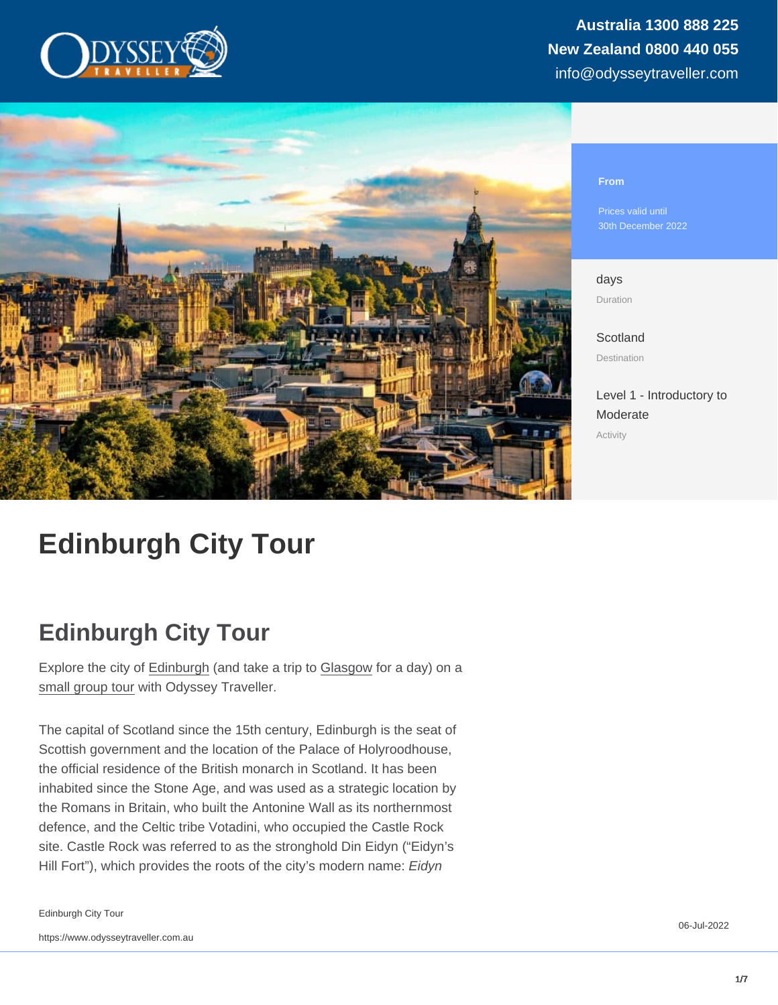#### From

Prices valid until 30th December 2022

days Duration

**[Scotland](https://www.odysseytraveller.com/destinations/british-isles/scotland/)** Destination

[Level 1 - Introductory to](/tour-category/activity-levels/) [Moderate](/tour-category/activity-levels/) Activity

# Edinburgh City Tour

## Edinburgh City Tour

Explore the city of [Edinburgh](https://www.odysseytraveller.com/articles/edinburgh-scotland/) (and take a trip to [Glasgow](https://www.odysseytraveller.com/articles/travellers-exploring-glasgow/) for a day) on a [small group tour](https://www.odysseytraveller.com/articles/small-group-tours-for-seniors/) with Odyssey Traveller.

The capital of Scotland since the 15th century, Edinburgh is the seat of Scottish government and the location of the Palace of Holyroodhouse, the official residence of the British monarch in Scotland. It has been inhabited since the Stone Age, and was used as a strategic location by the Romans in Britain, who built the Antonine Wall as its northernmost defence, and the Celtic tribe Votadini, who occupied the Castle Rock site. Castle Rock was referred to as the stronghold Din Eidyn ("Eidyn's Hill Fort"), which provides the roots of the city's modern name: Eidyn

Edinburgh City Tour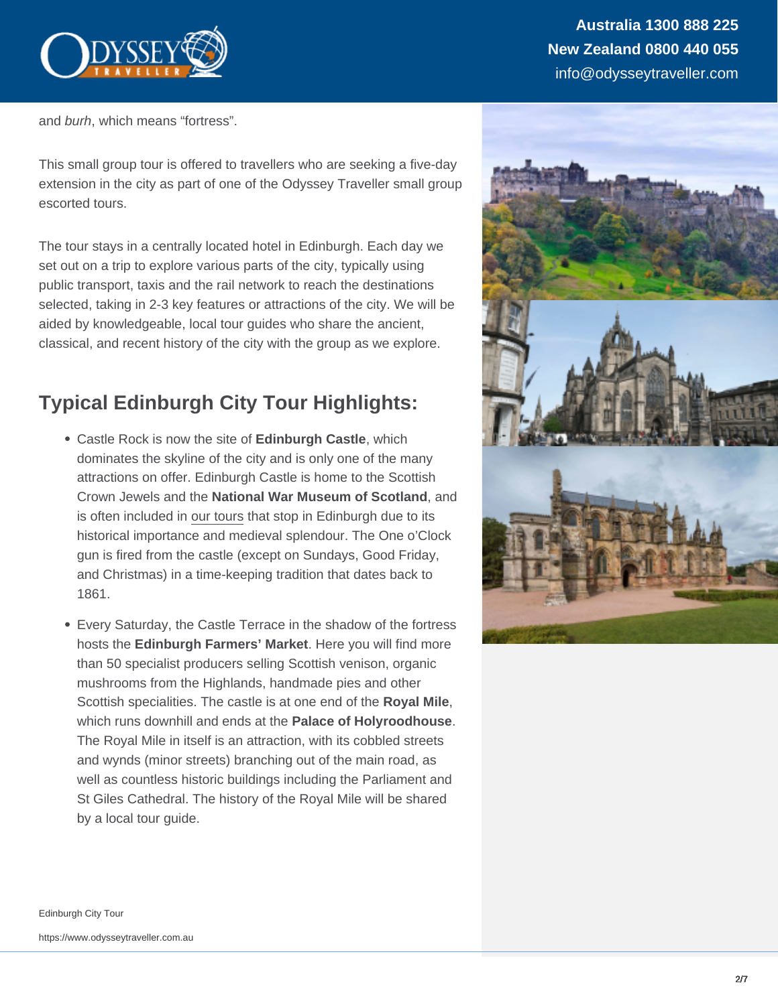and burh, which means "fortress".

This small group tour is offered to travellers who are seeking a five-day extension in the city as part of one of the Odyssey Traveller small group escorted tours.

The tour stays in a centrally located hotel in Edinburgh. Each day we set out on a trip to explore various parts of the city, typically using public transport, taxis and the rail network to reach the destinations selected, taking in 2-3 key features or attractions of the city. We will be aided by knowledgeable, local tour guides who share the ancient, classical, and recent history of the city with the group as we explore.

## Typical Edinburgh City Tour Highlights:

- Castle Rock is now the site of Edinburgh Castle , which dominates the skyline of the city and is only one of the many attractions on offer. Edinburgh Castle is home to the Scottish Crown Jewels and the National War Museum of Scotland , and is often included in [our tours](https://www.odysseytraveller.com/destinations/british-isles/scotland/) that stop in Edinburgh due to its historical importance and medieval splendour. The One o'Clock gun is fired from the castle (except on Sundays, Good Friday, and Christmas) in a time-keeping tradition that dates back to 1861.
- Every Saturday, the Castle Terrace in the shadow of the fortress hosts the Edinburgh Farmers' Market . Here you will find more than 50 specialist producers selling Scottish venison, organic mushrooms from the Highlands, handmade pies and other Scottish specialities. The castle is at one end of the Royal Mile , which runs downhill and ends at the Palace of Holyroodhouse . The Royal Mile in itself is an attraction, with its cobbled streets and wynds (minor streets) branching out of the main road, as well as countless historic buildings including the Parliament and St Giles Cathedral. The history of the Royal Mile will be shared by a local tour guide.

Edinburgh City Tour

https://www.odysseytraveller.com.au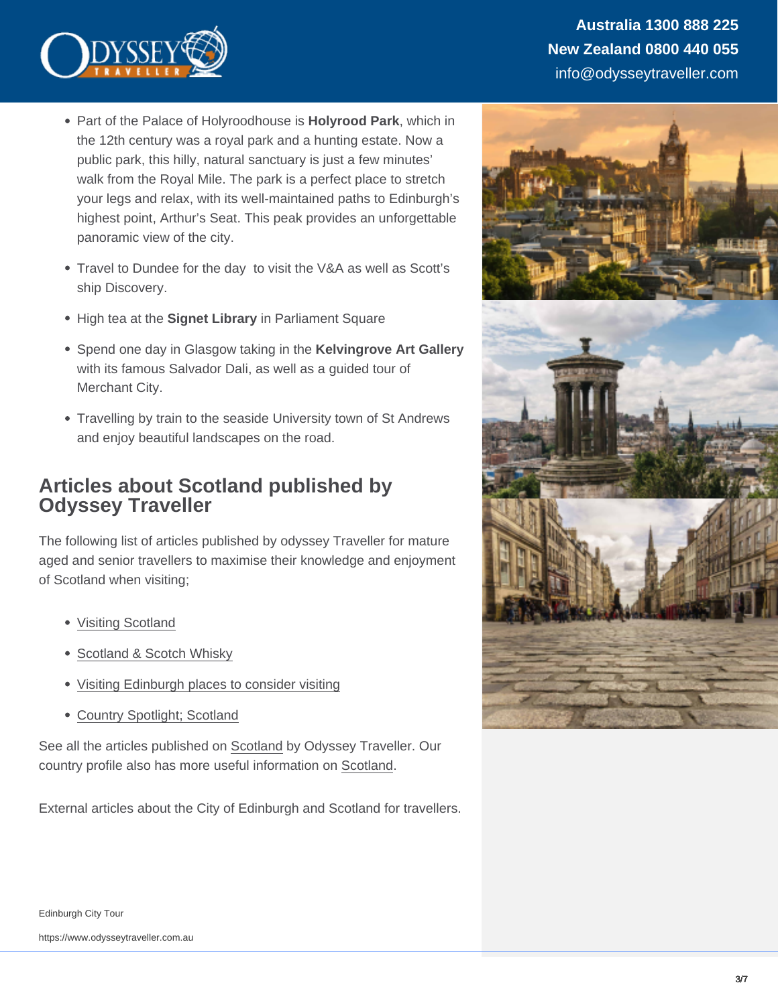- Part of the Palace of Holyroodhouse is Holyrood Park, which in the 12th century was a royal park and a hunting estate. Now a public park, this hilly, natural sanctuary is just a few minutes' walk from the Royal Mile. The park is a perfect place to stretch your legs and relax, with its well-maintained paths to Edinburgh's highest point, Arthur's Seat. This peak provides an unforgettable panoramic view of the city.
- Travel to Dundee for the day to visit the V&A as well as Scott's ship Discovery.
- High tea at the Signet Library in Parliament Square
- Spend one day in Glasgow taking in the Kelvingrove Art Gallery with its famous Salvador Dali, as well as a guided tour of Merchant City.
- Travelling by train to the seaside University town of St Andrews and enjoy beautiful landscapes on the road.

### Articles about Scotland published by Odyssey Traveller

The following list of articles published by odyssey Traveller for mature aged and senior travellers to maximise their knowledge and enjoyment of Scotland when visiting;

- [Visiting Scotland](https://www.odysseytraveller.com/articles/scotland-standing-stones-neolithic-history-and-whisky/)
- [Scotland & Scotch Whisky](https://www.odysseytraveller.com/articles/history-of-scotch-whisky/)
- [Visiting Edinburgh places to consider visiting](https://www.odysseytraveller.com/articles/visiting-edinburgh/)
- [Country Spotlight; Scotland](https://www.odysseytraveller.com/articles/country-spotlight-scotland/)

See all the articles published on [Scotland](https://www.odysseytraveller.com/british-isles/scotland/) by Odyssey Traveller. Our country profile also has more useful information on [Scotland.](https://www.odysseytraveller.com/destinations/british-isles/scotland/)

External articles about the City of Edinburgh and Scotland for travellers.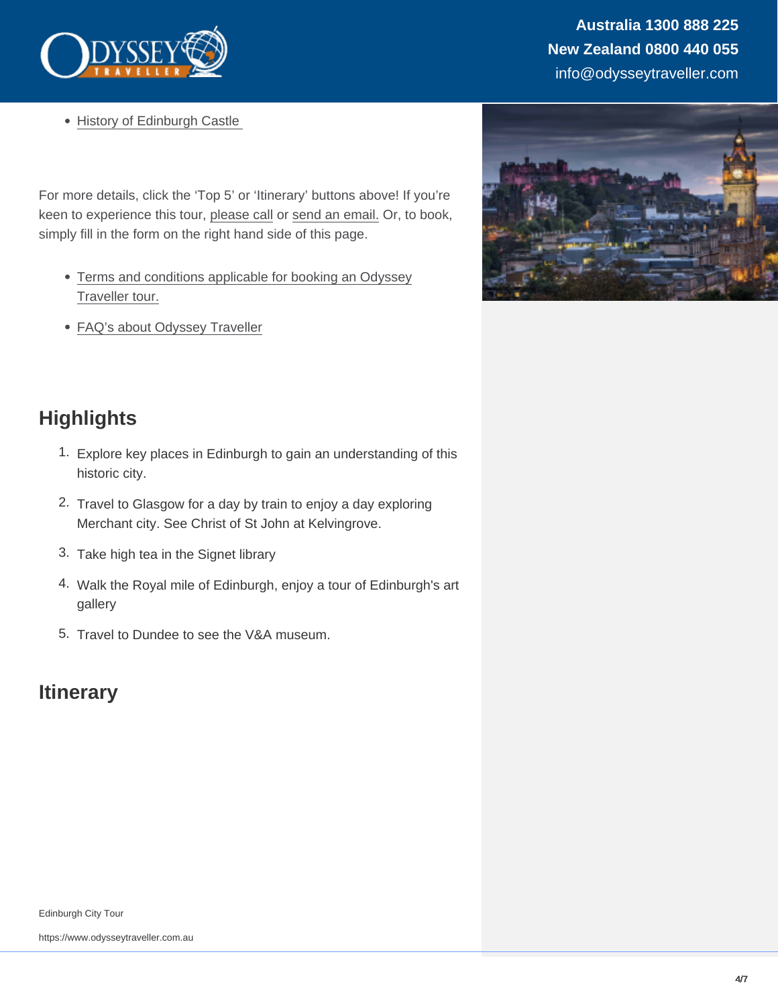• History of Edinburgh Castle

For more details, click the 'Top 5' or 'Itinerary' buttons above! If you're keen to experience this tour, [please call](https://www.odysseytraveller.com/contact-us/) or [send an email.](mailto:info@odysseytravel.com.au) Or, to book, simply fill in the form on the right hand side of this page.

- [Terms and conditions applicable for booking an Odyssey](https://www.odysseytraveller.com/terms-conditions/) [Traveller tour.](https://www.odysseytraveller.com/terms-conditions/)
- [FAQ's about Odyssey Traveller](https://www.odysseytraveller.com/faqs-odyssey-traveller/)

## **Highlights**

- 1. Explore key places in Edinburgh to gain an understanding of this historic city.
- 2. Travel to Glasgow for a day by train to enjoy a day exploring Merchant city. See Christ of St John at Kelvingrove.
- 3. Take high tea in the Signet library
- 4. Walk the Royal mile of Edinburgh, enjoy a tour of Edinburgh's art gallery
- 5. Travel to Dundee to see the V&A museum.

## **Itinerary**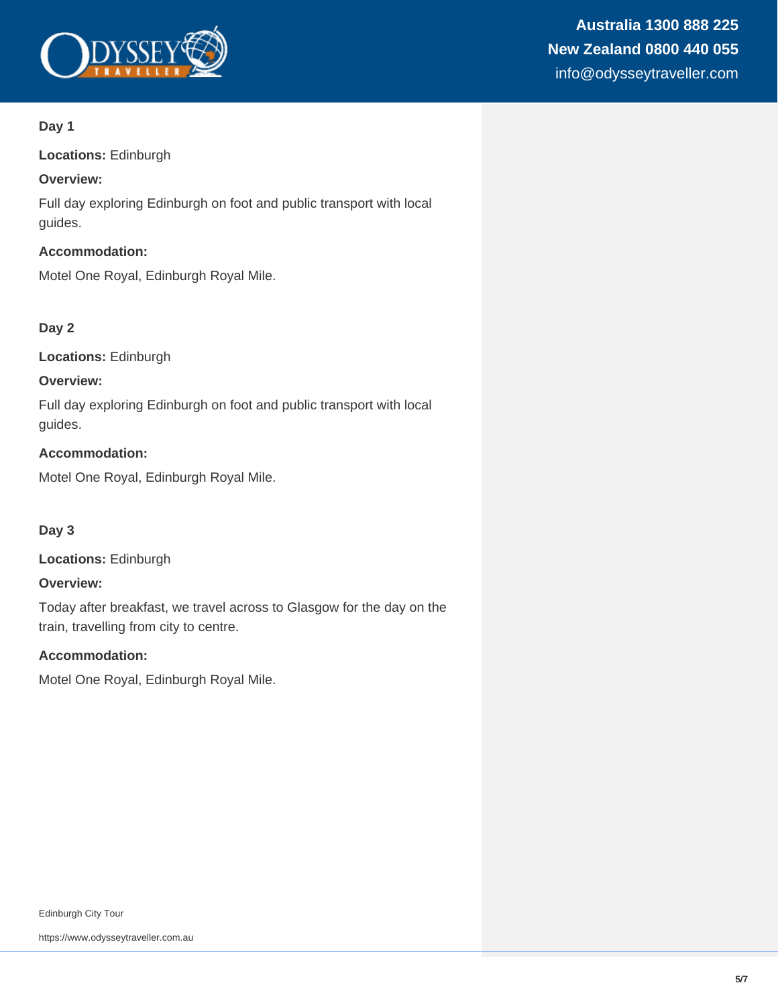

#### **Day 1**

**Locations:** Edinburgh

#### **Overview:**

Full day exploring Edinburgh on foot and public transport with local guides.

#### **Accommodation:**

Motel One Royal, Edinburgh Royal Mile.

#### **Day 2**

**Locations:** Edinburgh

#### **Overview:**

Full day exploring Edinburgh on foot and public transport with local guides.

#### **Accommodation:**

Motel One Royal, Edinburgh Royal Mile.

#### **Day 3**

**Locations:** Edinburgh

#### **Overview:**

Today after breakfast, we travel across to Glasgow for the day on the train, travelling from city to centre.

#### **Accommodation:**

Motel One Royal, Edinburgh Royal Mile.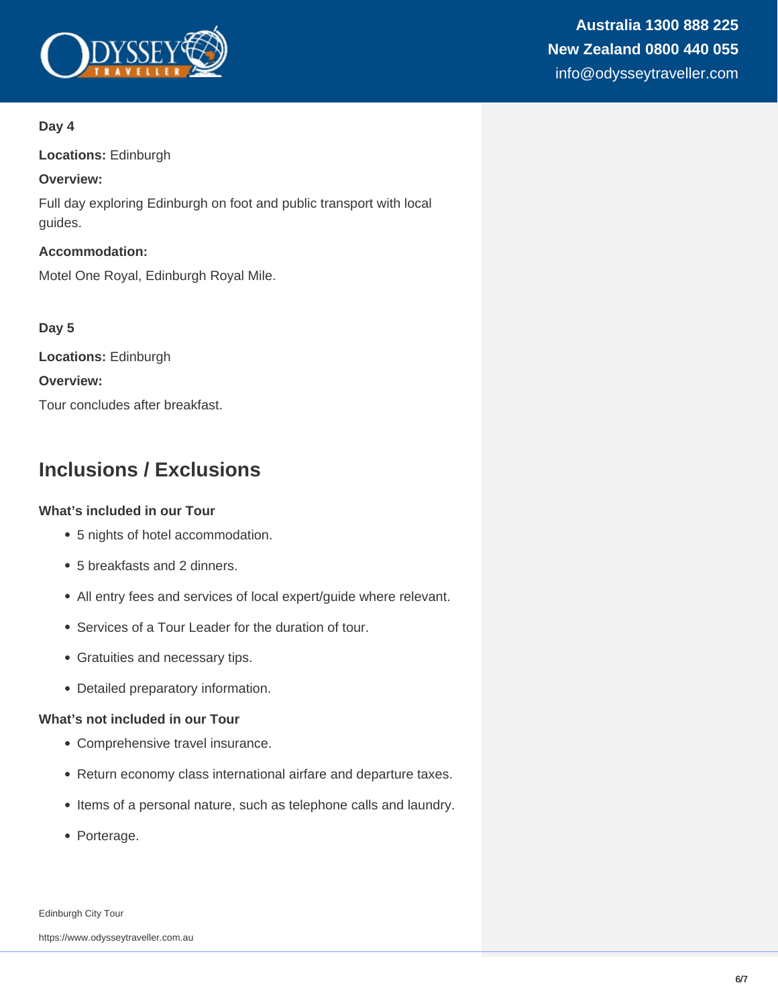

## **Australia 1300 888 225 New Zealand 0800 440 055** info@odysseytraveller.com

#### **Day 4**

**Locations:** Edinburgh

#### **Overview:**

Full day exploring Edinburgh on foot and public transport with local guides.

**Accommodation:** Motel One Royal, Edinburgh Royal Mile.

#### **Day 5**

**Locations:** Edinburgh **Overview:** Tour concludes after breakfast.

## **Inclusions / Exclusions**

#### **What's included in our Tour**

- 5 nights of hotel accommodation.
- 5 breakfasts and 2 dinners.
- All entry fees and services of local expert/guide where relevant.
- Services of a Tour Leader for the duration of tour.
- Gratuities and necessary tips.
- Detailed preparatory information.

#### **What's not included in our Tour**

- Comprehensive travel insurance.
- Return economy class international airfare and departure taxes.
- Items of a personal nature, such as telephone calls and laundry.
- Porterage.

Edinburgh City Tour